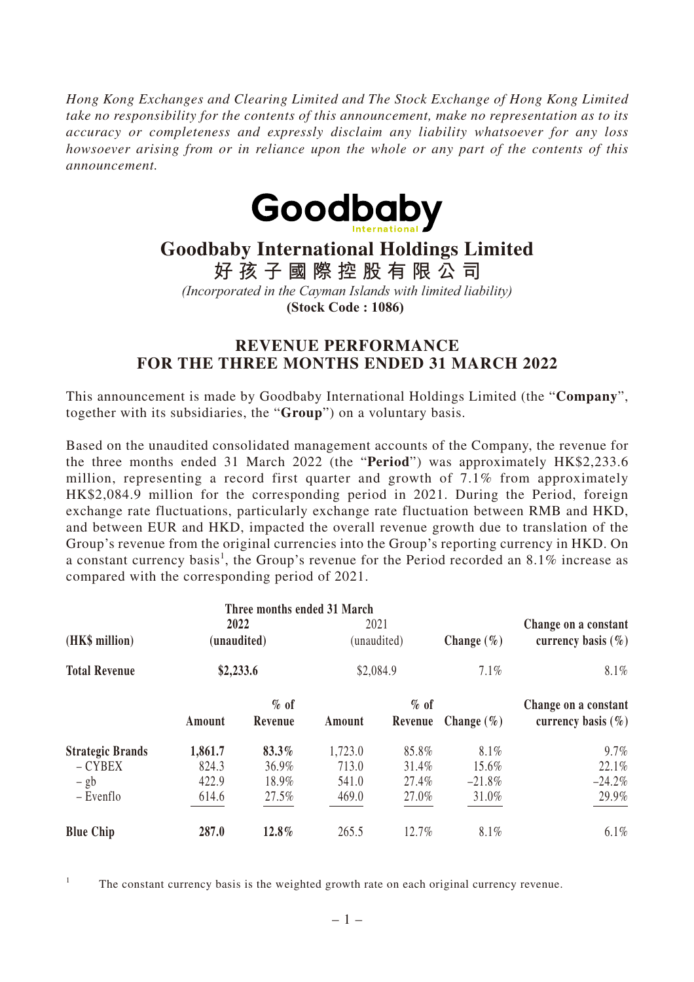*Hong Kong Exchanges and Clearing Limited and The Stock Exchange of Hong Kong Limited take no responsibility for the contents of this announcement, make no representation as to its accuracy or completeness and expressly disclaim any liability whatsoever for any loss howsoever arising from or in reliance upon the whole or any part of the contents of this announcement.*



## **Goodbaby International Holdings Limited**

**好孩子國際控股有限公司**

*(Incorporated in the Cayman Islands with limited liability)*

**(Stock Code : 1086)** 

## **REVENUE PERFORMANCE FOR THE THREE MONTHS ENDED 31 MARCH 2022**

This announcement is made by Goodbaby International Holdings Limited (the "**Company**", together with its subsidiaries, the "**Group**") on a voluntary basis.

Based on the unaudited consolidated management accounts of the Company, the revenue for the three months ended 31 March 2022 (the "**Period**") was approximately HK\$2,233.6 million, representing a record first quarter and growth of 7.1% from approximately HK\$2,084.9 million for the corresponding period in 2021. During the Period, foreign exchange rate fluctuations, particularly exchange rate fluctuation between RMB and HKD, and between EUR and HKD, impacted the overall revenue growth due to translation of the Group's revenue from the original currencies into the Group's reporting currency in HKD. On a constant currency basis<sup>1</sup>, the Group's revenue for the Period recorded an 8.1% increase as compared with the corresponding period of 2021.

|                                        | Three months ended 31 March      |                |                                  |                |                        |                                                           |
|----------------------------------------|----------------------------------|----------------|----------------------------------|----------------|------------------------|-----------------------------------------------------------|
| (HK\$ million)<br><b>Total Revenue</b> | 2022<br>(unaudited)<br>\$2,233.6 |                | 2021<br>(unaudited)<br>\$2,084.9 |                | Change $(\% )$<br>7.1% | Change on a constant<br>currency basis $(\% )$<br>$8.1\%$ |
|                                        |                                  |                |                                  |                |                        |                                                           |
|                                        | <b>Strategic Brands</b>          | 1,861.7        | 83.3%                            | 1,723.0        | 85.8%                  | 8.1%                                                      |
| $-CYBEX$                               | 824.3                            | 36.9%          | 713.0                            | 31.4%          | 15.6%                  | 22.1%                                                     |
| $-$ gb<br>$-$ Evenflo                  | 422.9<br>614.6                   | 18.9%<br>27.5% | 541.0<br>469.0                   | 27.4%<br>27.0% | $-21.8\%$<br>31.0%     | $-24.2%$<br>29.9%                                         |
| <b>Blue Chip</b>                       | 287.0                            | 12.8%          | 265.5                            | 12.7%          | 8.1%                   | $6.1\%$                                                   |

<sup>1</sup> The constant currency basis is the weighted growth rate on each original currency revenue.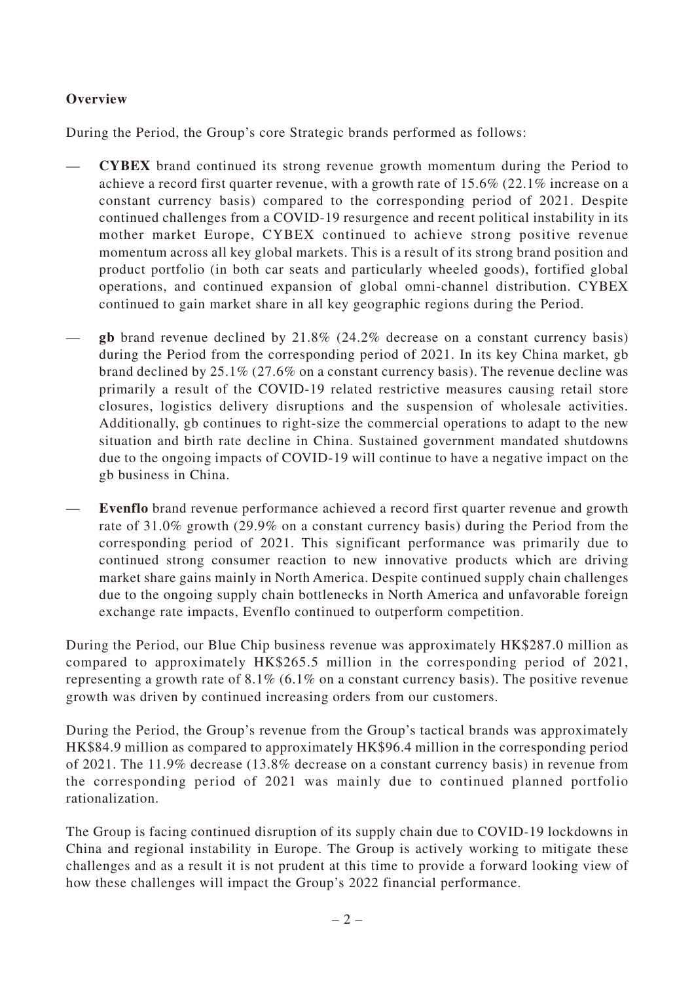## **Overview**

During the Period, the Group's core Strategic brands performed as follows:

- **CYBEX** brand continued its strong revenue growth momentum during the Period to achieve a record first quarter revenue, with a growth rate of 15.6% (22.1% increase on a constant currency basis) compared to the corresponding period of 2021. Despite continued challenges from a COVID-19 resurgence and recent political instability in its mother market Europe, CYBEX continued to achieve strong positive revenue momentum across all key global markets. This is a result of its strong brand position and product portfolio (in both car seats and particularly wheeled goods), fortified global operations, and continued expansion of global omni-channel distribution. CYBEX continued to gain market share in all key geographic regions during the Period.
- **gb** brand revenue declined by 21.8% (24.2% decrease on a constant currency basis) during the Period from the corresponding period of 2021. In its key China market, gb brand declined by 25.1% (27.6% on a constant currency basis). The revenue decline was primarily a result of the COVID-19 related restrictive measures causing retail store closures, logistics delivery disruptions and the suspension of wholesale activities. Additionally, gb continues to right-size the commercial operations to adapt to the new situation and birth rate decline in China. Sustained government mandated shutdowns due to the ongoing impacts of COVID-19 will continue to have a negative impact on the gb business in China.
- **Evenflo** brand revenue performance achieved a record first quarter revenue and growth rate of 31.0% growth (29.9% on a constant currency basis) during the Period from the corresponding period of 2021. This significant performance was primarily due to continued strong consumer reaction to new innovative products which are driving market share gains mainly in North America. Despite continued supply chain challenges due to the ongoing supply chain bottlenecks in North America and unfavorable foreign exchange rate impacts, Evenflo continued to outperform competition.

During the Period, our Blue Chip business revenue was approximately HK\$287.0 million as compared to approximately HK\$265.5 million in the corresponding period of 2021, representing a growth rate of 8.1% (6.1% on a constant currency basis). The positive revenue growth was driven by continued increasing orders from our customers.

During the Period, the Group's revenue from the Group's tactical brands was approximately HK\$84.9 million as compared to approximately HK\$96.4 million in the corresponding period of 2021. The 11.9% decrease (13.8% decrease on a constant currency basis) in revenue from the corresponding period of 2021 was mainly due to continued planned portfolio rationalization.

The Group is facing continued disruption of its supply chain due to COVID-19 lockdowns in China and regional instability in Europe. The Group is actively working to mitigate these challenges and as a result it is not prudent at this time to provide a forward looking view of how these challenges will impact the Group's 2022 financial performance.